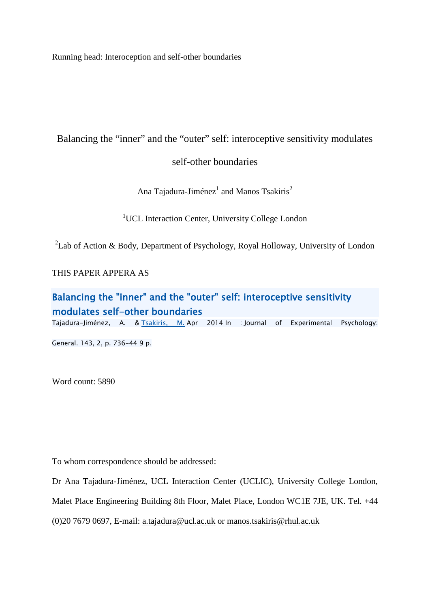Running head: Interoception and self-other boundaries

## Balancing the "inner" and the "outer" self: interoceptive sensitivity modulates

## self-other boundaries

Ana Tajadura-Jiménez<sup>1</sup> and Manos Tsakiris<sup>2</sup>

<sup>1</sup>UCL Interaction Center, University College London

<sup>2</sup>Lab of Action & Body, Department of Psychology, Royal Holloway, University of London

THIS PAPER APPERA AS

# Balancing the "inner" and the "outer" self: interoceptive sensitivity modulates self-other boundaries

Tajadura-Jiménez, A. & [Tsakiris, M.](javascript:void(0);) Apr 2014 In : Journal of Experimental Psychology:

General. 143, 2, p. 736-44 9 p.

Word count: 5890

To whom correspondence should be addressed:

Dr Ana Tajadura-Jiménez, UCL Interaction Center (UCLIC), University College London,

Malet Place Engineering Building 8th Floor, Malet Place, London WC1E 7JE, UK. Tel. +44

(0)20 7679 0697, E-mail: a.tajadura@ucl.ac.uk or [manos.tsakiris@rhul.ac.uk](mailto:manos.tsakiris@rhul.ac.uk)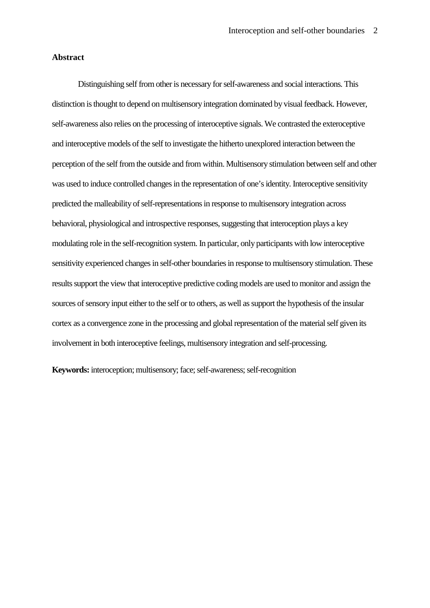## **Abstract**

Distinguishing self from other is necessary for self-awareness and social interactions. This distinction is thought to depend on multisensory integration dominated by visual feedback. However, self-awareness also relies on the processing of interoceptive signals. We contrasted the exteroceptive and interoceptive models of the self to investigate the hitherto unexplored interaction between the perception of the self from the outside and from within. Multisensory stimulation between self and other was used to induce controlled changes in the representation of one's identity. Interoceptive sensitivity predicted the malleability of self-representations in response to multisensory integration across behavioral, physiological and introspective responses, suggesting that interoception plays a key modulating role in the self-recognition system. In particular, only participants with low interoceptive sensitivity experienced changes in self-other boundaries in response to multisensory stimulation. These results support the view that interoceptive predictive coding models are used to monitor and assign the sources of sensory input either to the self or to others, as well as support the hypothesis of the insular cortex as a convergence zone in the processing and global representation of the material self given its involvement in both interoceptive feelings, multisensory integration and self-processing.

**Keywords:** interoception; multisensory; face; self-awareness; self-recognition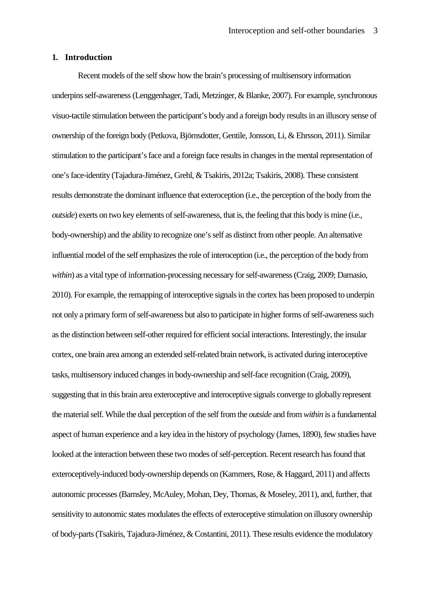## **1. Introduction**

Recent models of the self show how the brain's processing of multisensory information underpins self-awareness (Lenggenhager, Tadi, Metzinger, & Blanke, 2007). For example, synchronous visuo-tactile stimulation between the participant's body and a foreign body results in an illusory sense of ownership of the foreign body (Petkova, Björnsdotter, Gentile, Jonsson, Li, & Ehrsson, 2011). Similar stimulation to the participant's face and a foreign face results in changes in the mental representation of one's face-identity (Tajadura-Jiménez, Grehl, & Tsakiris, 2012a; Tsakiris, 2008). These consistent results demonstrate the dominant influence that exteroception (i.e., the perception of the body from the *outside*) exerts on two key elements of self-awareness, that is, the feeling that this body is mine (i.e., body-ownership) and the ability to recognize one's self as distinct from other people. An alternative influential model of the self emphasizes the role of interoception (i.e., the perception of the body from *within*) as a vital type of information-processing necessary for self-awareness (Craig, 2009; Damasio, 2010). For example, the remapping of interoceptive signals in the cortex has been proposed to underpin not only a primary form of self-awareness but also to participate in higher forms of self-awareness such as the distinction between self-other required for efficient social interactions. Interestingly, the insular cortex, one brain area among an extended self-related brain network, is activated during interoceptive tasks, multisensory induced changes in body-ownership and self-face recognition (Craig, 2009), suggesting that in this brain area exteroceptive and interoceptive signals converge to globally represent the material self. While the dual perception of the self from the *outside* and from *within* is a fundamental aspect of human experience and a key idea in the history of psychology (James, 1890), few studies have looked at the interaction between these two modes of self-perception. Recent research has found that exteroceptively-induced body-ownership depends on (Kammers, Rose, & Haggard, 2011) and affects autonomic processes (Barnsley, McAuley, Mohan, Dey, Thomas, & Moseley, 2011), and, further, that sensitivity to autonomic states modulates the effects of exteroceptive stimulation on illusory ownership of body-parts (Tsakiris, Tajadura-Jiménez, & Costantini, 2011). These results evidence the modulatory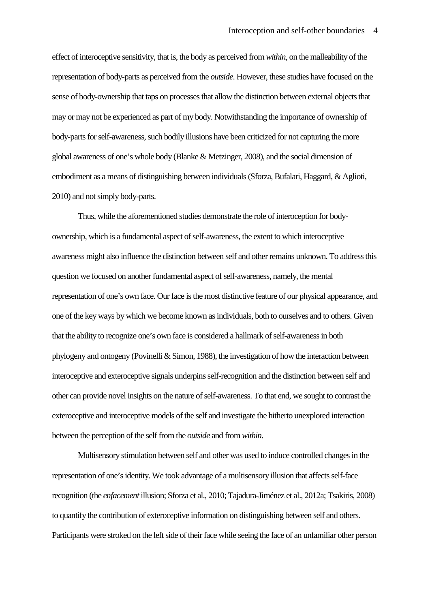effect of interoceptive sensitivity, that is, the body as perceived from *within*, on the malleability of the representation of body-parts as perceived from the *outside*. However, these studies have focused on the sense of body-ownership that taps on processes that allow the distinction between external objects that may or may not be experienced as part of my body. Notwithstanding the importance of ownership of body-parts for self-awareness, such bodily illusions have been criticized for not capturing the more global awareness of one's whole body (Blanke & Metzinger, 2008), and the social dimension of embodiment as a means of distinguishing between individuals (Sforza, Bufalari, Haggard, & Aglioti, 2010) and not simply body-parts.

Thus, while the aforementioned studies demonstrate the role of interoception for bodyownership, which is a fundamental aspect of self-awareness, the extent to which interoceptive awareness might also influence the distinction between self and other remains unknown. To address this question we focused on another fundamental aspect of self-awareness, namely, the mental representation of one's own face. Our face is the most distinctive feature of our physical appearance, and one of the key ways by which we become known as individuals, both to ourselves and to others. Given that the ability to recognize one's own face is considered a hallmark of self-awareness in both phylogeny and ontogeny (Povinelli  $\&$  Simon, 1988), the investigation of how the interaction between interoceptive and exteroceptive signals underpins self-recognition and the distinction between self and other can provide novel insights on the nature of self-awareness. To that end, we sought to contrast the exteroceptive and interoceptive models of the self and investigate the hitherto unexplored interaction between the perception of the self from the *outside* and from *within*.

Multisensory stimulation between self and other was used to induce controlled changes in the representation of one's identity. We took advantage of a multisensory illusion that affects self-face recognition (the *enfacement* illusion; Sforza et al., 2010; Tajadura-Jiménez et al., 2012a; Tsakiris, 2008) to quantify the contribution of exteroceptive information on distinguishing between self and others. Participants were stroked on the left side of their face while seeing the face of an unfamiliar other person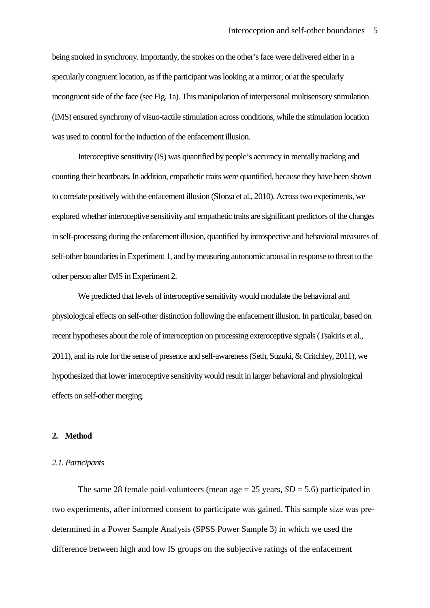being stroked in synchrony. Importantly, the strokes on the other's face were delivered either in a specularly congruent location, as if the participant was looking at a mirror, or at the specularly incongruent side of the face (see Fig. 1a). This manipulation of interpersonal multisensory stimulation (IMS) ensured synchrony of visuo-tactile stimulation across conditions, while the stimulation location was used to control for the induction of the enfacement illusion.

Interoceptive sensitivity (IS) was quantified by people's accuracy in mentally tracking and counting their heartbeats. In addition, empathetic traits were quantified, because they have been shown to correlate positively with the enfacement illusion (Sforza et al., 2010). Across two experiments, we explored whether interoceptive sensitivity and empathetic traits are significant predictors of the changes in self-processing during the enfacement illusion, quantified by introspective and behavioral measures of self-other boundaries in Experiment 1, and by measuring autonomic arousal in response to threat to the other person after IMS in Experiment 2.

We predicted that levels of interoceptive sensitivity would modulate the behavioral and physiological effects on self-other distinction following the enfacement illusion. In particular, based on recent hypotheses about the role of interoception on processing exteroceptive signals (Tsakiris et al., 2011), and its role for the sense of presence and self-awareness (Seth, Suzuki, & Critchley, 2011), we hypothesized that lower interoceptive sensitivity would result in larger behavioral and physiological effects on self-other merging.

## **2. Method**

#### *2.1. Participants*

The same 28 female paid-volunteers (mean age  $= 25$  years,  $SD = 5.6$ ) participated in two experiments, after informed consent to participate was gained. This sample size was predetermined in a Power Sample Analysis (SPSS Power Sample 3) in which we used the difference between high and low IS groups on the subjective ratings of the enfacement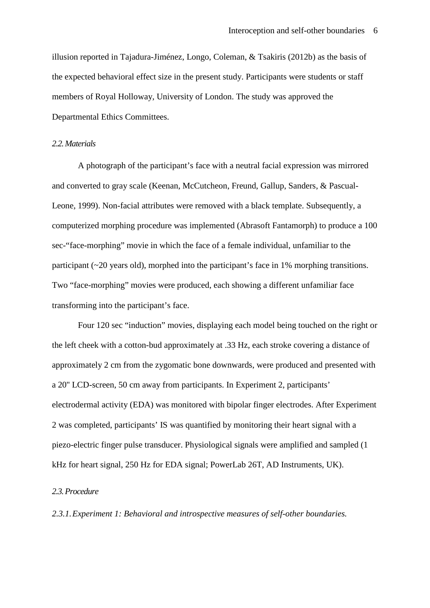illusion reported in Tajadura-Jiménez, Longo, Coleman, & Tsakiris (2012b) as the basis of the expected behavioral effect size in the present study. Participants were students or staff members of Royal Holloway, University of London. The study was approved the Departmental Ethics Committees.

## *2.2.Materials*

A photograph of the participant's face with a neutral facial expression was mirrored and converted to gray scale (Keenan, McCutcheon, Freund, Gallup, Sanders, & Pascual-Leone, 1999). Non-facial attributes were removed with a black template. Subsequently, a computerized morphing procedure was implemented (Abrasoft Fantamorph) to produce a 100 sec-"face-morphing" movie in which the face of a female individual, unfamiliar to the participant (~20 years old), morphed into the participant's face in 1% morphing transitions. Two "face-morphing" movies were produced, each showing a different unfamiliar face transforming into the participant's face.

Four 120 sec "induction" movies, displaying each model being touched on the right or the left cheek with a cotton-bud approximately at .33 Hz, each stroke covering a distance of approximately 2 cm from the zygomatic bone downwards, were produced and presented with a 20'' LCD-screen, 50 cm away from participants. In Experiment 2, participants' electrodermal activity (EDA) was monitored with bipolar finger electrodes. After Experiment 2 was completed, participants' IS was quantified by monitoring their heart signal with a piezo-electric finger pulse transducer. Physiological signals were amplified and sampled (1 kHz for heart signal, 250 Hz for EDA signal; PowerLab 26T, AD Instruments, UK).

#### *2.3.Procedure*

*2.3.1.Experiment 1: Behavioral and introspective measures of self-other boundaries.*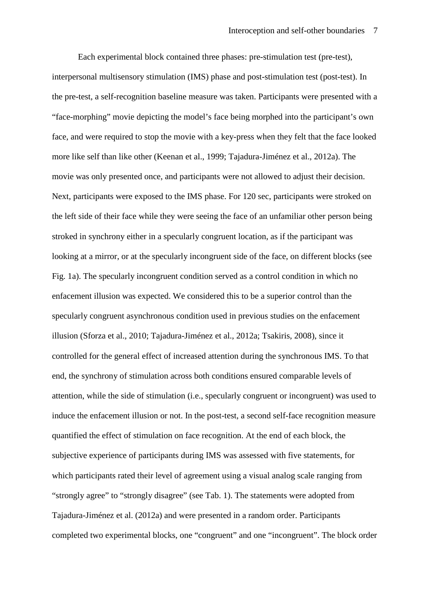Each experimental block contained three phases: pre-stimulation test (pre-test), interpersonal multisensory stimulation (IMS) phase and post-stimulation test (post-test). In the pre-test, a self-recognition baseline measure was taken. Participants were presented with a "face-morphing" movie depicting the model's face being morphed into the participant's own face, and were required to stop the movie with a key-press when they felt that the face looked more like self than like other (Keenan et al., 1999; Tajadura-Jiménez et al., 2012a). The movie was only presented once, and participants were not allowed to adjust their decision. Next, participants were exposed to the IMS phase. For 120 sec, participants were stroked on the left side of their face while they were seeing the face of an unfamiliar other person being stroked in synchrony either in a specularly congruent location, as if the participant was looking at a mirror, or at the specularly incongruent side of the face, on different blocks (see Fig. 1a). The specularly incongruent condition served as a control condition in which no enfacement illusion was expected. We considered this to be a superior control than the specularly congruent asynchronous condition used in previous studies on the enfacement illusion (Sforza et al., 2010; Tajadura-Jiménez et al., 2012a; Tsakiris, 2008), since it controlled for the general effect of increased attention during the synchronous IMS. To that end, the synchrony of stimulation across both conditions ensured comparable levels of attention, while the side of stimulation (i.e., specularly congruent or incongruent) was used to induce the enfacement illusion or not. In the post-test, a second self-face recognition measure quantified the effect of stimulation on face recognition. At the end of each block, the subjective experience of participants during IMS was assessed with five statements, for which participants rated their level of agreement using a visual analog scale ranging from "strongly agree" to "strongly disagree" (see Tab. 1). The statements were adopted from Tajadura-Jiménez et al. (2012a) and were presented in a random order. Participants completed two experimental blocks, one "congruent" and one "incongruent". The block order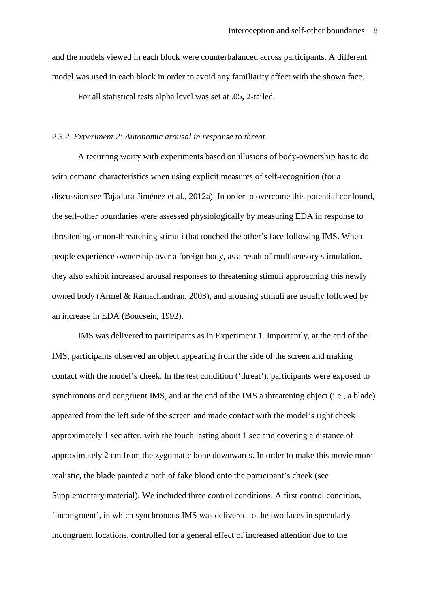and the models viewed in each block were counterbalanced across participants. A different model was used in each block in order to avoid any familiarity effect with the shown face.

For all statistical tests alpha level was set at .05, 2-tailed.

#### *2.3.2. Experiment 2: Autonomic arousal in response to threat.*

A recurring worry with experiments based on illusions of body-ownership has to do with demand characteristics when using explicit measures of self-recognition (for a discussion see Tajadura-Jiménez et al., 2012a). In order to overcome this potential confound, the self-other boundaries were assessed physiologically by measuring EDA in response to threatening or non-threatening stimuli that touched the other's face following IMS. When people experience ownership over a foreign body, as a result of multisensory stimulation, they also exhibit increased arousal responses to threatening stimuli approaching this newly owned body (Armel & Ramachandran, 2003), and arousing stimuli are usually followed by an increase in EDA (Boucsein, 1992).

IMS was delivered to participants as in Experiment 1. Importantly, at the end of the IMS, participants observed an object appearing from the side of the screen and making contact with the model's cheek. In the test condition ('threat'), participants were exposed to synchronous and congruent IMS, and at the end of the IMS a threatening object (i.e., a blade) appeared from the left side of the screen and made contact with the model's right cheek approximately 1 sec after, with the touch lasting about 1 sec and covering a distance of approximately 2 cm from the zygomatic bone downwards. In order to make this movie more realistic, the blade painted a path of fake blood onto the participant's cheek (see Supplementary material). We included three control conditions. A first control condition, 'incongruent', in which synchronous IMS was delivered to the two faces in specularly incongruent locations, controlled for a general effect of increased attention due to the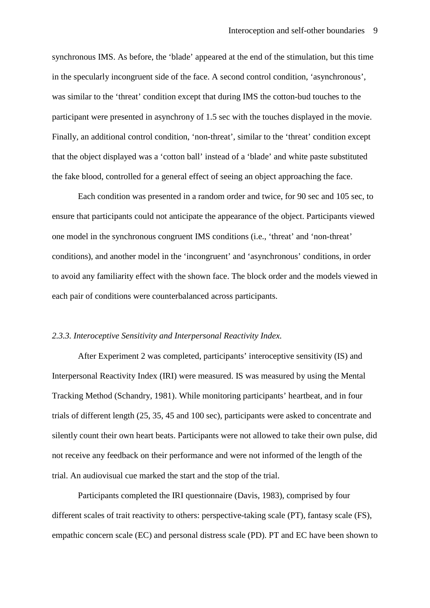synchronous IMS. As before, the 'blade' appeared at the end of the stimulation, but this time in the specularly incongruent side of the face. A second control condition, 'asynchronous', was similar to the 'threat' condition except that during IMS the cotton-bud touches to the participant were presented in asynchrony of 1.5 sec with the touches displayed in the movie. Finally, an additional control condition, 'non-threat', similar to the 'threat' condition except that the object displayed was a 'cotton ball' instead of a 'blade' and white paste substituted the fake blood, controlled for a general effect of seeing an object approaching the face.

Each condition was presented in a random order and twice, for 90 sec and 105 sec, to ensure that participants could not anticipate the appearance of the object. Participants viewed one model in the synchronous congruent IMS conditions (i.e., 'threat' and 'non-threat' conditions), and another model in the 'incongruent' and 'asynchronous' conditions, in order to avoid any familiarity effect with the shown face. The block order and the models viewed in each pair of conditions were counterbalanced across participants.

## *2.3.3. Interoceptive Sensitivity and Interpersonal Reactivity Index.*

After Experiment 2 was completed, participants' interoceptive sensitivity (IS) and Interpersonal Reactivity Index (IRI) were measured. IS was measured by using the Mental Tracking Method (Schandry, 1981). While monitoring participants' heartbeat, and in four trials of different length (25, 35, 45 and 100 sec), participants were asked to concentrate and silently count their own heart beats. Participants were not allowed to take their own pulse, did not receive any feedback on their performance and were not informed of the length of the trial. An audiovisual cue marked the start and the stop of the trial.

Participants completed the IRI questionnaire (Davis, 1983), comprised by four different scales of trait reactivity to others: perspective-taking scale (PT), fantasy scale (FS), empathic concern scale (EC) and personal distress scale (PD). PT and EC have been shown to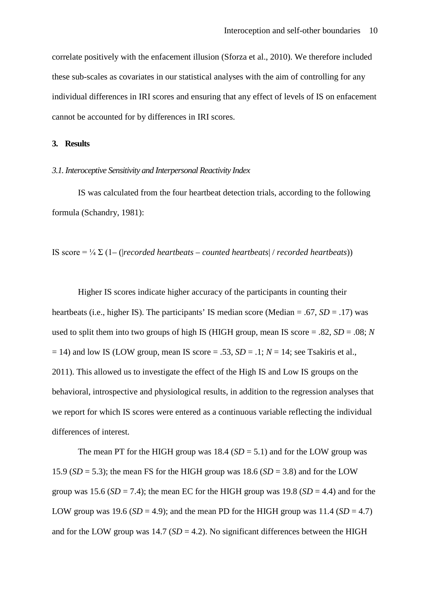correlate positively with the enfacement illusion (Sforza et al., 2010). We therefore included these sub-scales as covariates in our statistical analyses with the aim of controlling for any individual differences in IRI scores and ensuring that any effect of levels of IS on enfacement cannot be accounted for by differences in IRI scores.

#### **3. Results**

#### *3.1. Interoceptive Sensitivity and Interpersonal Reactivity Index*

IS was calculated from the four heartbeat detection trials, according to the following formula (Schandry, 1981):

IS score  $= \frac{1}{4} \sum (1 - (|recorded \text{ heartbeats} - counted \text{ heartbeats}| / recorded \text{ heartbeats}))$ 

Higher IS scores indicate higher accuracy of the participants in counting their heartbeats (i.e., higher IS). The participants' IS median score (Median = .67, *SD* = .17) was used to split them into two groups of high IS (HIGH group, mean IS score  $= .82$ ,  $SD = .08$ ; *N*  $= 14$ ) and low IS (LOW group, mean IS score  $= .53$ ,  $SD = .1$ ;  $N = 14$ ; see Tsakiris et al., 2011). This allowed us to investigate the effect of the High IS and Low IS groups on the behavioral, introspective and physiological results, in addition to the regression analyses that we report for which IS scores were entered as a continuous variable reflecting the individual differences of interest.

The mean PT for the HIGH group was  $18.4$  (*SD* = 5.1) and for the LOW group was 15.9 ( $SD = 5.3$ ); the mean FS for the HIGH group was 18.6 ( $SD = 3.8$ ) and for the LOW group was 15.6 ( $SD = 7.4$ ); the mean EC for the HIGH group was 19.8 ( $SD = 4.4$ ) and for the LOW group was 19.6 ( $SD = 4.9$ ); and the mean PD for the HIGH group was 11.4 ( $SD = 4.7$ ) and for the LOW group was  $14.7$  (*SD* = 4.2). No significant differences between the HIGH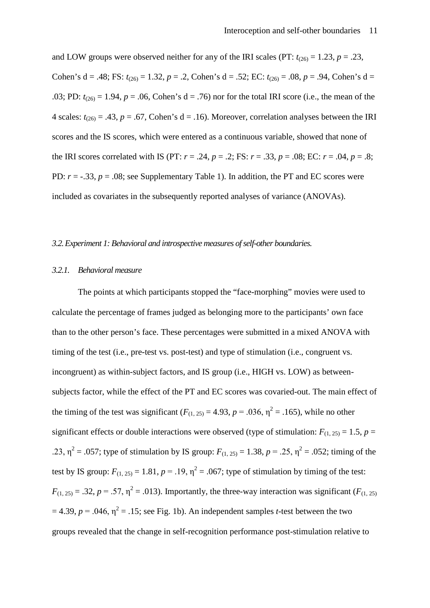and LOW groups were observed neither for any of the IRI scales (PT:  $t_{(26)} = 1.23$ ,  $p = .23$ , Cohen's d = .48; FS:  $t_{(26)} = 1.32$ ,  $p = .2$ , Cohen's d = .52; EC:  $t_{(26)} = .08$ ,  $p = .94$ , Cohen's d = .03; PD:  $t_{(26)} = 1.94$ ,  $p = .06$ , Cohen's d = .76) nor for the total IRI score (i.e., the mean of the 4 scales:  $t_{(26)} = .43$ ,  $p = .67$ , Cohen's d = .16). Moreover, correlation analyses between the IRI scores and the IS scores, which were entered as a continuous variable, showed that none of the IRI scores correlated with IS (PT:  $r = .24$ ,  $p = .2$ ; FS:  $r = .33$ ,  $p = .08$ ; EC:  $r = .04$ ,  $p = .8$ ; PD:  $r = -0.33$ ,  $p = 0.08$ ; see Supplementary Table 1). In addition, the PT and EC scores were included as covariates in the subsequently reported analyses of variance (ANOVAs).

## *3.2.Experiment 1: Behavioral and introspective measures of self-other boundaries.*

## *3.2.1. Behavioral measure*

The points at which participants stopped the "face-morphing" movies were used to calculate the percentage of frames judged as belonging more to the participants' own face than to the other person's face. These percentages were submitted in a mixed ANOVA with timing of the test (i.e., pre-test vs. post-test) and type of stimulation (i.e., congruent vs. incongruent) as within-subject factors, and IS group (i.e., HIGH vs. LOW) as betweensubjects factor, while the effect of the PT and EC scores was covaried-out. The main effect of the timing of the test was significant  $(F_{(1, 25)} = 4.93, p = .036, \eta^2 = .165)$ , while no other significant effects or double interactions were observed (type of stimulation:  $F_{(1, 25)} = 1.5$ ,  $p =$ .23,  $\eta^2$  = .057; type of stimulation by IS group:  $F_{(1, 25)} = 1.38$ ,  $p = .25$ ,  $\eta^2 = .052$ ; timing of the test by IS group:  $F_{(1, 25)} = 1.81$ ,  $p = .19$ ,  $\eta^2 = .067$ ; type of stimulation by timing of the test:  $F_{(1, 25)} = .32$ ,  $p = .57$ ,  $\eta^2 = .013$ ). Importantly, the three-way interaction was significant (*F*<sub>(1, 25)</sub>  $= 4.39$ ,  $p = .046$ ,  $\eta^2 = .15$ ; see Fig. 1b). An independent samples *t*-test between the two groups revealed that the change in self-recognition performance post-stimulation relative to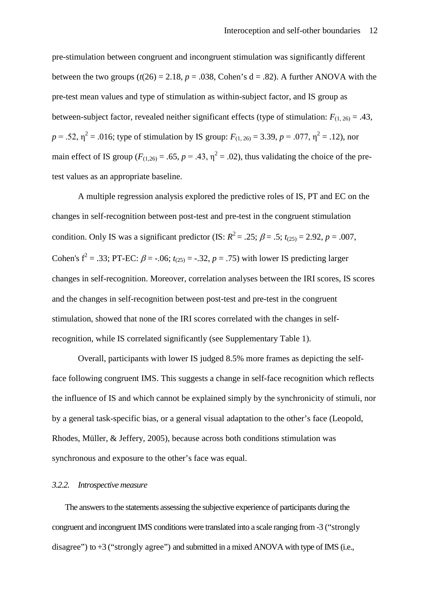pre-stimulation between congruent and incongruent stimulation was significantly different between the two groups  $(t(26) = 2.18, p = .038$ . Cohen's  $d = .82$ ). A further ANOVA with the pre-test mean values and type of stimulation as within-subject factor, and IS group as between-subject factor, revealed neither significant effects (type of stimulation:  $F_{(1, 26)} = .43$ ,  $p = .52$ ,  $\eta^2 = .016$ ; type of stimulation by IS group:  $F_{(1, 26)} = 3.39$ ,  $p = .077$ ,  $\eta^2 = .12$ ), nor main effect of IS group ( $F_{(1,26)} = .65$ ,  $p = .43$ ,  $\eta^2 = .02$ ), thus validating the choice of the pretest values as an appropriate baseline.

A multiple regression analysis explored the predictive roles of IS, PT and EC on the changes in self-recognition between post-test and pre-test in the congruent stimulation condition. Only IS was a significant predictor (IS:  $R^2 = .25$ ;  $\beta = .5$ ;  $t_{(25)} = 2.92$ ,  $p = .007$ , Cohen's  $f^2 = .33$ ; PT-EC:  $\beta = -.06$ ;  $t_{(25)} = -.32$ ,  $p = .75$ ) with lower IS predicting larger changes in self-recognition. Moreover, correlation analyses between the IRI scores, IS scores and the changes in self-recognition between post-test and pre-test in the congruent stimulation, showed that none of the IRI scores correlated with the changes in selfrecognition, while IS correlated significantly (see Supplementary Table 1).

Overall, participants with lower IS judged 8.5% more frames as depicting the selfface following congruent IMS. This suggests a change in self-face recognition which reflects the influence of IS and which cannot be explained simply by the synchronicity of stimuli, nor by a general task-specific bias, or a general visual adaptation to the other's face (Leopold, Rhodes, Müller, & Jeffery, 2005), because across both conditions stimulation was synchronous and exposure to the other's face was equal.

## *3.2.2. Introspective measure*

The answers to the statements assessing the subjective experience of participants during the congruent and incongruent IMS conditions were translated into a scale ranging from -3 ("strongly disagree") to +3 ("strongly agree") and submitted in a mixed ANOVA with type of IMS (i.e.,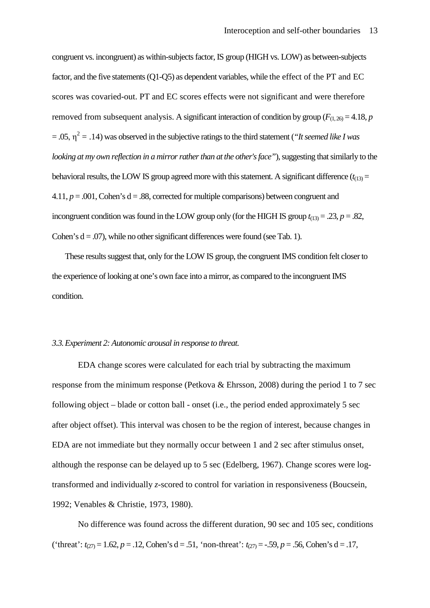congruent vs. incongruent) as within-subjects factor, IS group (HIGH vs. LOW) as between-subjects factor, and the five statements (Q1-Q5) as dependent variables, while the effect of the PT and EC scores was covaried-out. PT and EC scores effects were not significant and were therefore removed from subsequent analysis. A significant interaction of condition by group ( $F_{(1, 26)} = 4.18$ , *p*  $= .05$ ,  $\eta^2 = .14$ ) was observed in the subjective ratings to the third statement (*"It seemed like I was looking at my own reflection in a mirror rather than at the other's face"*), suggesting that similarly to the behavioral results, the LOW IS group agreed more with this statement. A significant difference  $(t_{(13)} =$ 4.11,  $p = .001$ , Cohen's  $d = .88$ , corrected for multiple comparisons) between congruent and incongruent condition was found in the LOW group only (for the HIGH IS group  $t_{(13)} = .23$ ,  $p = .82$ , Cohen's  $d = .07$ ), while no other significant differences were found (see Tab. 1).

These results suggest that, only for the LOW IS group, the congruent IMS condition felt closer to the experience of looking at one's own face into a mirror, as compared to the incongruent IMS condition.

#### *3.3.Experiment 2: Autonomic arousal in response to threat.*

EDA change scores were calculated for each trial by subtracting the maximum response from the minimum response (Petkova & Ehrsson, 2008) during the period 1 to 7 sec following object – blade or cotton ball - onset (i.e., the period ended approximately 5 sec after object offset). This interval was chosen to be the region of interest, because changes in EDA are not immediate but they normally occur between 1 and 2 sec after stimulus onset, although the response can be delayed up to 5 sec (Edelberg, 1967). Change scores were logtransformed and individually *z*-scored to control for variation in responsiveness (Boucsein, 1992; Venables & Christie, 1973, 1980).

No difference was found across the different duration, 90 sec and 105 sec, conditions ('threat':  $t_{(27)} = 1.62$ ,  $p = .12$ , Cohen's d = .51, 'non-threat':  $t_{(27)} = -.59$ ,  $p = .56$ , Cohen's d = .17,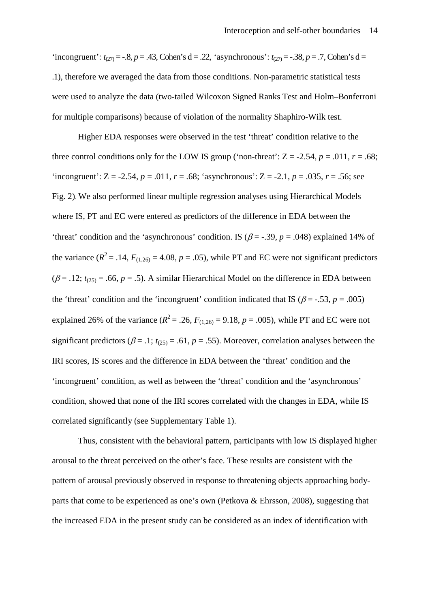'incongruent':  $t_{(27)} = -0.8$ ,  $p = 0.43$ , Cohen's d = .22, 'asynchronous':  $t_{(27)} = -0.38$ ,  $p = 0.7$ , Cohen's d = .1), therefore we averaged the data from those conditions. Non-parametric statistical tests were used to analyze the data (two-tailed Wilcoxon Signed Ranks Test and Holm–Bonferroni for multiple comparisons) because of violation of the normality Shaphiro-Wilk test.

Higher EDA responses were observed in the test 'threat' condition relative to the three control conditions only for the LOW IS group ('non-threat':  $Z = -2.54$ ,  $p = .011$ ,  $r = .68$ ; 'incongruent':  $Z = -2.54$ ,  $p = .011$ ,  $r = .68$ ; 'asynchronous':  $Z = -2.1$ ,  $p = .035$ ,  $r = .56$ ; see Fig. 2). We also performed linear multiple regression analyses using Hierarchical Models where IS, PT and EC were entered as predictors of the difference in EDA between the 'threat' condition and the 'asynchronous' condition. IS ( $\beta$  = -.39, *p* = .048) explained 14% of the variance  $(R^2 = .14, F_{(1,26)} = 4.08, p = .05)$ , while PT and EC were not significant predictors  $(\beta = .12; t_{(25)} = .66, p = .5)$ . A similar Hierarchical Model on the difference in EDA between the 'threat' condition and the 'incongruent' condition indicated that IS ( $\beta$  = -.53, *p* = .005) explained 26% of the variance ( $R^2 = .26$ ,  $F_{(1,26)} = 9.18$ ,  $p = .005$ ), while PT and EC were not significant predictors ( $\beta$  = .1;  $t_{(25)}$  = .61,  $p$  = .55). Moreover, correlation analyses between the IRI scores, IS scores and the difference in EDA between the 'threat' condition and the 'incongruent' condition, as well as between the 'threat' condition and the 'asynchronous' condition, showed that none of the IRI scores correlated with the changes in EDA, while IS correlated significantly (see Supplementary Table 1).

Thus, consistent with the behavioral pattern, participants with low IS displayed higher arousal to the threat perceived on the other's face. These results are consistent with the pattern of arousal previously observed in response to threatening objects approaching bodyparts that come to be experienced as one's own (Petkova & Ehrsson, 2008), suggesting that the increased EDA in the present study can be considered as an index of identification with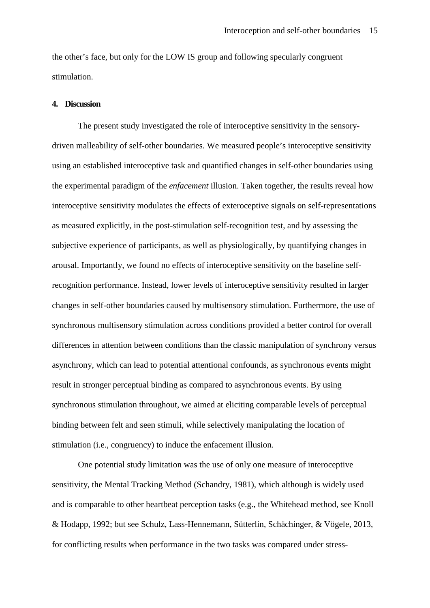the other's face, but only for the LOW IS group and following specularly congruent stimulation.

#### **4. Discussion**

The present study investigated the role of interoceptive sensitivity in the sensorydriven malleability of self-other boundaries. We measured people's interoceptive sensitivity using an established interoceptive task and quantified changes in self-other boundaries using the experimental paradigm of the *enfacement* illusion. Taken together, the results reveal how interoceptive sensitivity modulates the effects of exteroceptive signals on self-representations as measured explicitly, in the post-stimulation self-recognition test, and by assessing the subjective experience of participants, as well as physiologically, by quantifying changes in arousal. Importantly, we found no effects of interoceptive sensitivity on the baseline selfrecognition performance. Instead, lower levels of interoceptive sensitivity resulted in larger changes in self-other boundaries caused by multisensory stimulation. Furthermore, the use of synchronous multisensory stimulation across conditions provided a better control for overall differences in attention between conditions than the classic manipulation of synchrony versus asynchrony, which can lead to potential attentional confounds, as synchronous events might result in stronger perceptual binding as compared to asynchronous events. By using synchronous stimulation throughout, we aimed at eliciting comparable levels of perceptual binding between felt and seen stimuli, while selectively manipulating the location of stimulation (i.e., congruency) to induce the enfacement illusion.

One potential study limitation was the use of only one measure of interoceptive sensitivity, the Mental Tracking Method (Schandry, 1981), which although is widely used and is comparable to other heartbeat perception tasks (e.g., the Whitehead method, see Knoll & Hodapp, 1992; but see Schulz, Lass-Hennemann, Sütterlin, Schächinger, & Vögele, 2013, for conflicting results when performance in the two tasks was compared under stress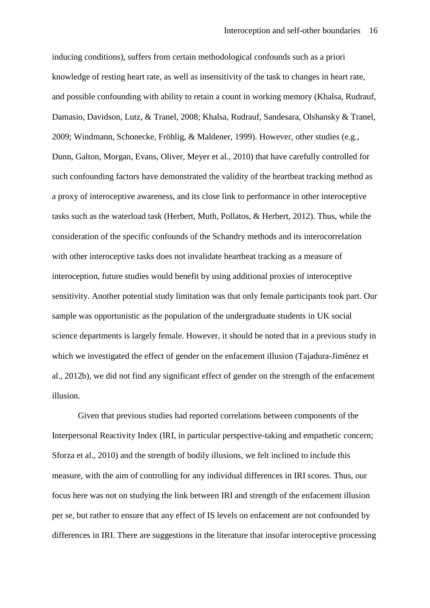inducing conditions), suffers from certain methodological confounds such as a priori knowledge of resting heart rate, as well as insensitivity of the task to changes in heart rate, and possible confounding with ability to retain a count in working memory (Khalsa, Rudrauf, Damasio, Davidson, Lutz, & Tranel, 2008; Khalsa, Rudrauf, Sandesara, Olshansky & Tranel, 2009; Windmann, Schonecke, Fröhlig, & Maldener, 1999). However, other studies (e.g., Dunn, Galton, Morgan, Evans, Oliver, Meyer et al., 2010) that have carefully controlled for such confounding factors have demonstrated the validity of the heartbeat tracking method as a proxy of interoceptive awareness, and its close link to performance in other interoceptive tasks such as the waterload task (Herbert, Muth, Pollatos, & Herbert, 2012). Thus, while the consideration of the specific confounds of the Schandry methods and its interocorrelation with other interoceptive tasks does not invalidate heartbeat tracking as a measure of interoception, future studies would benefit by using additional proxies of interoceptive sensitivity. Another potential study limitation was that only female participants took part. Our sample was opportunistic as the population of the undergraduate students in UK social science departments is largely female. However, it should be noted that in a previous study in which we investigated the effect of gender on the enfacement illusion (Tajadura-Jiménez et al., 2012b), we did not find any significant effect of gender on the strength of the enfacement illusion.

Given that previous studies had reported correlations between components of the Interpersonal Reactivity Index (IRI, in particular perspective-taking and empathetic concern; Sforza et al., 2010) and the strength of bodily illusions, we felt inclined to include this measure, with the aim of controlling for any individual differences in IRI scores. Thus, our focus here was not on studying the link between IRI and strength of the enfacement illusion per se, but rather to ensure that any effect of IS levels on enfacement are not confounded by differences in IRI. There are suggestions in the literature that insofar interoceptive processing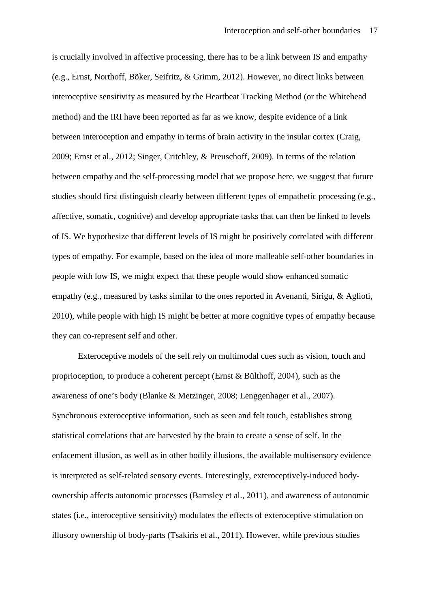is crucially involved in affective processing, there has to be a link between IS and empathy (e.g., Ernst, Northoff, Böker, Seifritz, & Grimm, 2012). However, no direct links between interoceptive sensitivity as measured by the Heartbeat Tracking Method (or the Whitehead method) and the IRI have been reported as far as we know, despite evidence of a link between interoception and empathy in terms of brain activity in the insular cortex (Craig, 2009; Ernst et al., 2012; Singer, Critchley, & Preuschoff, 2009). In terms of the relation between empathy and the self-processing model that we propose here, we suggest that future studies should first distinguish clearly between different types of empathetic processing (e.g., affective, somatic, cognitive) and develop appropriate tasks that can then be linked to levels of IS. We hypothesize that different levels of IS might be positively correlated with different types of empathy. For example, based on the idea of more malleable self-other boundaries in people with low IS, we might expect that these people would show enhanced somatic empathy (e.g., measured by tasks similar to the ones reported in Avenanti, Sirigu, & Aglioti, 2010), while people with high IS might be better at more cognitive types of empathy because they can co-represent self and other.

Exteroceptive models of the self rely on multimodal cues such as vision, touch and proprioception, to produce a coherent percept (Ernst & Bülthoff, 2004), such as the awareness of one's body (Blanke & Metzinger, 2008; Lenggenhager et al., 2007). Synchronous exteroceptive information, such as seen and felt touch, establishes strong statistical correlations that are harvested by the brain to create a sense of self. In the enfacement illusion, as well as in other bodily illusions, the available multisensory evidence is interpreted as self-related sensory events. Interestingly, exteroceptively-induced bodyownership affects autonomic processes (Barnsley et al., 2011), and awareness of autonomic states (i.e., interoceptive sensitivity) modulates the effects of exteroceptive stimulation on illusory ownership of body-parts (Tsakiris et al., 2011). However, while previous studies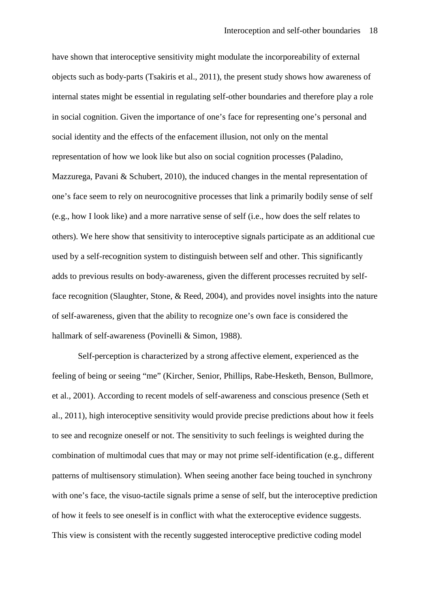have shown that interoceptive sensitivity might modulate the incorporeability of external objects such as body-parts (Tsakiris et al., 2011), the present study shows how awareness of internal states might be essential in regulating self-other boundaries and therefore play a role in social cognition. Given the importance of one's face for representing one's personal and social identity and the effects of the enfacement illusion, not only on the mental representation of how we look like but also on social cognition processes (Paladino, Mazzurega, Pavani & Schubert, 2010), the induced changes in the mental representation of one's face seem to rely on neurocognitive processes that link a primarily bodily sense of self (e.g., how I look like) and a more narrative sense of self (i.e., how does the self relates to others). We here show that sensitivity to interoceptive signals participate as an additional cue used by a self-recognition system to distinguish between self and other. This significantly adds to previous results on body-awareness, given the different processes recruited by selfface recognition (Slaughter, Stone, & Reed, 2004), and provides novel insights into the nature of self-awareness, given that the ability to recognize one's own face is considered the hallmark of self-awareness (Povinelli & Simon, 1988).

Self-perception is characterized by a strong affective element, experienced as the feeling of being or seeing "me" (Kircher, Senior, Phillips, Rabe-Hesketh, Benson, Bullmore, et al., 2001). According to recent models of self-awareness and conscious presence (Seth et al., 2011), high interoceptive sensitivity would provide precise predictions about how it feels to see and recognize oneself or not. The sensitivity to such feelings is weighted during the combination of multimodal cues that may or may not prime self-identification (e.g., different patterns of multisensory stimulation). When seeing another face being touched in synchrony with one's face, the visuo-tactile signals prime a sense of self, but the interoceptive prediction of how it feels to see oneself is in conflict with what the exteroceptive evidence suggests. This view is consistent with the recently suggested interoceptive predictive coding model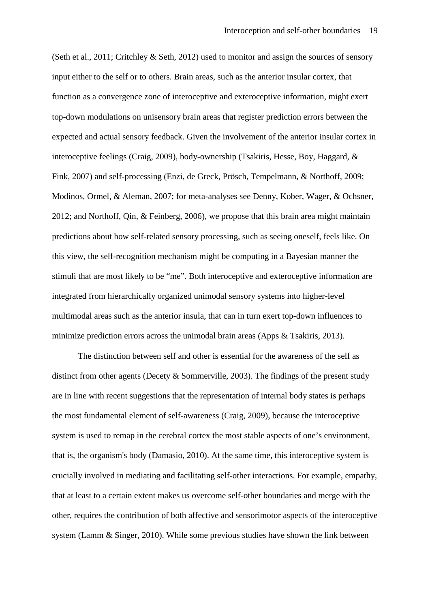(Seth et al., 2011; Critchley & Seth, 2012) used to monitor and assign the sources of sensory input either to the self or to others. Brain areas, such as the anterior insular cortex, that function as a convergence zone of interoceptive and exteroceptive information, might exert top-down modulations on unisensory brain areas that register prediction errors between the expected and actual sensory feedback. Given the involvement of the anterior insular cortex in interoceptive feelings (Craig, 2009), body-ownership (Tsakiris, Hesse, Boy, Haggard, & Fink, 2007) and self-processing (Enzi, de Greck, Prösch, Tempelmann, & Northoff, 2009; Modinos, Ormel, & Aleman, 2007; for meta-analyses see Denny, Kober, Wager, & Ochsner, 2012; and Northoff, Qin, & Feinberg, 2006), we propose that this brain area might maintain predictions about how self-related sensory processing, such as seeing oneself, feels like. On this view, the self-recognition mechanism might be computing in a Bayesian manner the stimuli that are most likely to be "me". Both interoceptive and exteroceptive information are integrated from hierarchically organized unimodal sensory systems into higher-level multimodal areas such as the anterior insula, that can in turn exert top-down influences to minimize prediction errors across the unimodal brain areas (Apps & Tsakiris, 2013).

The distinction between self and other is essential for the awareness of the self as distinct from other agents (Decety & Sommerville, 2003). The findings of the present study are in line with recent suggestions that the representation of internal body states is perhaps the most fundamental element of self-awareness (Craig, 2009), because the interoceptive system is used to remap in the cerebral cortex the most stable aspects of one's environment, that is, the organism's body (Damasio, 2010). At the same time, this interoceptive system is crucially involved in mediating and facilitating self-other interactions. For example, empathy, that at least to a certain extent makes us overcome self-other boundaries and merge with the other, requires the contribution of both affective and sensorimotor aspects of the interoceptive system (Lamm & Singer, 2010). While some previous studies have shown the link between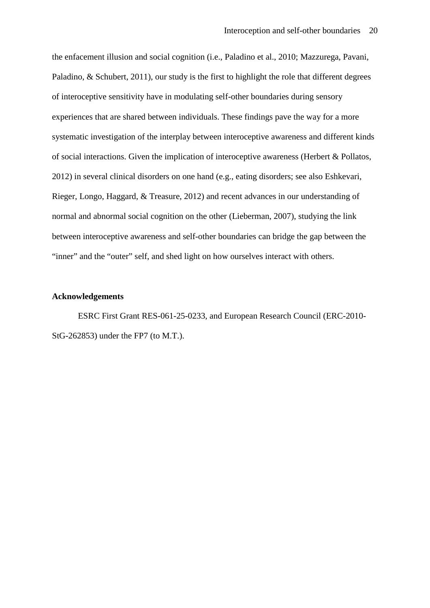the enfacement illusion and social cognition (i.e., Paladino et al., 2010; Mazzurega, Pavani, Paladino, & Schubert, 2011), our study is the first to highlight the role that different degrees of interoceptive sensitivity have in modulating self-other boundaries during sensory experiences that are shared between individuals. These findings pave the way for a more systematic investigation of the interplay between interoceptive awareness and different kinds of social interactions. Given the implication of interoceptive awareness (Herbert & Pollatos, 2012) in several clinical disorders on one hand (e.g., eating disorders; see also Eshkevari, Rieger, Longo, Haggard, & Treasure, 2012) and recent advances in our understanding of normal and abnormal social cognition on the other (Lieberman, 2007), studying the link between interoceptive awareness and self-other boundaries can bridge the gap between the "inner" and the "outer" self, and shed light on how ourselves interact with others.

## **Acknowledgements**

ESRC First Grant RES-061-25-0233, and European Research Council (ERC-2010- StG-262853) under the FP7 (to M.T.).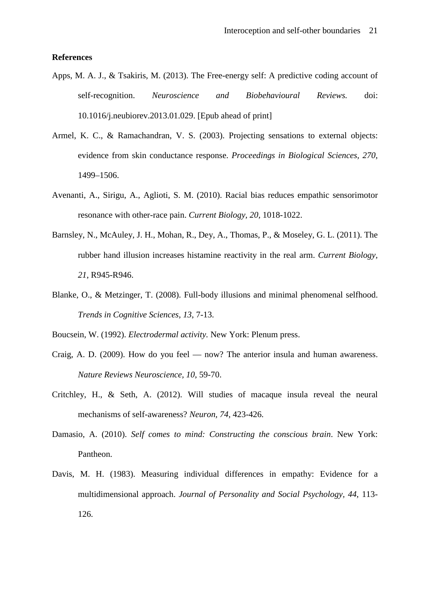## **References**

- Apps, M. A. J., & Tsakiris, M. (2013). The Free-energy self: A predictive coding account of self-recognition. *Neuroscience and Biobehavioural Reviews.* doi: 10.1016/j.neubiorev.2013.01.029. [Epub ahead of print]
- Armel, K. C., & Ramachandran, V. S. (2003). Projecting sensations to external objects: evidence from skin conductance response. *Proceedings in Biological Sciences, 270*, 1499–1506.
- Avenanti, A., Sirigu, A., Aglioti, S. M. (2010). Racial bias reduces empathic sensorimotor resonance with other-race pain. *Current Biology, 20,* 1018-1022.
- Barnsley, N., McAuley, J. H., Mohan, R., Dey, A., Thomas, P., & Moseley, G. L. (2011). The rubber hand illusion increases histamine reactivity in the real arm. *Current Biology, 21*, R945-R946.
- Blanke, O., & Metzinger, T. (2008). Full-body illusions and minimal phenomenal selfhood. *Trends in Cognitive Sciences, 13*, 7-13.
- Boucsein, W. (1992). *Electrodermal activity.* New York: Plenum press.
- Craig, A. D. (2009). How do you feel now? The anterior insula and human awareness. *Nature Reviews Neuroscience, 10*, 59-70.
- Critchley, H., & Seth, A. (2012). Will studies of macaque insula reveal the neural mechanisms of self-awareness? *Neuron, 74*, 423-426.
- Damasio, A. (2010). *Self comes to mind: Constructing the conscious brain*. New York: Pantheon.
- Davis, M. H. (1983). Measuring individual differences in empathy: Evidence for a multidimensional approach. *Journal of Personality and Social Psychology, 44*, 113- 126.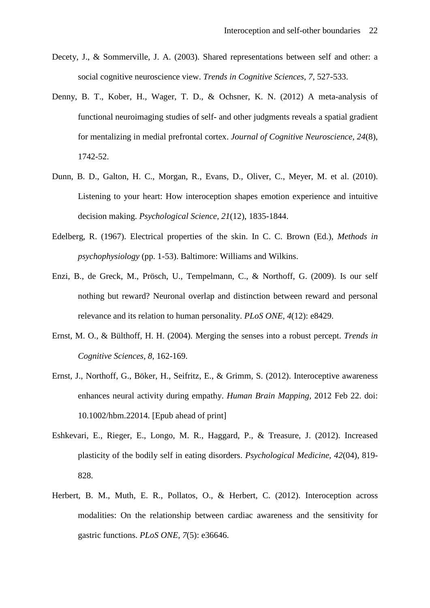- Decety, J., & Sommerville, J. A. (2003). Shared representations between self and other: a social cognitive neuroscience view. *Trends in Cognitive Sciences*, *7*, 527-533.
- Denny, B. T., Kober, H., Wager, T. D., & Ochsner, K. N. (2012) A meta-analysis of functional neuroimaging studies of self- and other judgments reveals a spatial gradient for mentalizing in medial prefrontal cortex. *Journal of Cognitive Neuroscience, 24*(8), 1742-52.
- Dunn, B. D., Galton, H. C., Morgan, R., Evans, D., Oliver, C., Meyer, M. et al. (2010). Listening to your heart: How interoception shapes emotion experience and intuitive decision making. *Psychological Science, 21*(12), 1835-1844.
- Edelberg, R. (1967). Electrical properties of the skin. In C. C. Brown (Ed.), *Methods in psychophysiology* (pp. 1-53). Baltimore: Williams and Wilkins.
- Enzi, B., de Greck, M., Prösch, U., Tempelmann, C., & Northoff, G. (2009). Is our self nothing but reward? Neuronal overlap and distinction between reward and personal relevance and its relation to human personality. *PLoS ONE, 4*(12): e8429.
- Ernst, M. O., & Bülthoff, H. H. (2004). Merging the senses into a robust percept. *Trends in Cognitive Sciences, 8*, 162-169.
- Ernst, J., Northoff, G., Böker, H., Seifritz, E., & Grimm, S. (2012). Interoceptive awareness enhances neural activity during empathy. *Human Brain Mapping,* 2012 Feb 22. doi: 10.1002/hbm.22014. [Epub ahead of print]
- Eshkevari, E., Rieger, E., Longo, M. R., Haggard, P., & Treasure, J. (2012). Increased plasticity of the bodily self in eating disorders. *Psychological Medicine, 42*(04), 819- 828.
- Herbert, B. M., Muth, E. R., Pollatos, O., & Herbert, C. (2012). Interoception across modalities: On the relationship between cardiac awareness and the sensitivity for gastric functions. *PLoS ONE, 7*(5): e36646.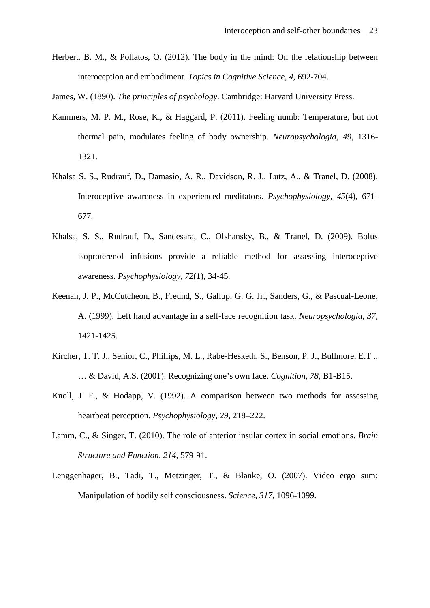Herbert, B. M., & Pollatos, O. (2012). The body in the mind: On the relationship between interoception and embodiment. *Topics in Cognitive Science, 4*, 692-704.

James, W. (1890). *The principles of psychology*. Cambridge: Harvard University Press.

- Kammers, M. P. M., Rose, K., & Haggard, P. (2011). Feeling numb: Temperature, but not thermal pain, modulates feeling of body ownership. *Neuropsychologia, 49*, 1316- 1321.
- Khalsa S. S., Rudrauf, D., Damasio, A. R., Davidson, R. J., Lutz, A., & Tranel, D. (2008). Interoceptive awareness in experienced meditators. *Psychophysiology, 45*(4), 671- 677.
- Khalsa, S. S., Rudrauf, D., Sandesara, C., Olshansky, B., & Tranel, D. (2009). Bolus isoproterenol infusions provide a reliable method for assessing interoceptive awareness. *Psychophysiology, 72*(1), 34-45.
- Keenan, J. P., McCutcheon, B., Freund, S., Gallup, G. G. Jr., Sanders, G., & Pascual-Leone, A. (1999). Left hand advantage in a self-face recognition task. *Neuropsychologia, 37*, 1421-1425.
- Kircher, T. T. J., Senior, C., Phillips, M. L., Rabe-Hesketh, S., Benson, P. J., Bullmore, E.T ., … & David, A.S. (2001). Recognizing one's own face. *Cognition, 78*, B1-B15.
- Knoll, J. F., & Hodapp, V. (1992). A comparison between two methods for assessing heartbeat perception. *Psychophysiology, 29*, 218–222.
- Lamm, C., & Singer, T. (2010). The role of anterior insular cortex in social emotions. *Brain Structure and Function, 214*, 579-91.
- Lenggenhager, B., Tadi, T., Metzinger, T., & Blanke, O. (2007). Video ergo sum: Manipulation of bodily self consciousness. *Science, 317*, 1096-1099.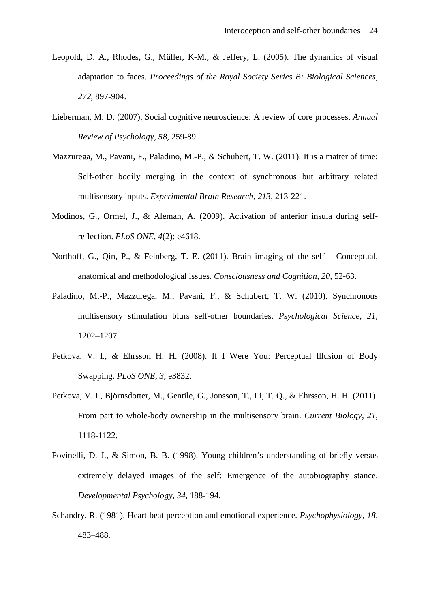- Leopold, D. A., Rhodes, G., Müller, K-M., & Jeffery, L. (2005). The dynamics of visual adaptation to faces. *Proceedings of the Royal Society Series B: Biological Sciences, 272*, 897-904.
- Lieberman, M. D. (2007). Social cognitive neuroscience: A review of core processes. *Annual Review of Psychology, 58*, 259-89.
- Mazzurega, M., Pavani, F., Paladino, M.-P., & Schubert, T. W. (2011). It is a matter of time: Self-other bodily merging in the context of synchronous but arbitrary related multisensory inputs. *Experimental Brain Research, 213*, 213-221.
- Modinos, G., Ormel, J., & Aleman, A. (2009). Activation of anterior insula during selfreflection. *PLoS ONE, 4*(2): e4618.
- Northoff, G., Qin, P., & Feinberg, T. E. (2011). Brain imaging of the self Conceptual, anatomical and methodological issues. *Consciousness and Cognition, 20*, 52-63.
- Paladino, M.-P., Mazzurega, M., Pavani, F., & Schubert, T. W. (2010). Synchronous multisensory stimulation blurs self-other boundaries. *Psychological Science, 21*, 1202–1207.
- Petkova, V. I., & Ehrsson H. H. (2008). If I Were You: Perceptual Illusion of Body Swapping. *PLoS ONE, 3*, e3832.
- Petkova, V. I., Björnsdotter, M., Gentile, G., Jonsson, T., Li, T. Q., & Ehrsson, H. H. (2011). From part to whole-body ownership in the multisensory brain. *Current Biology, 21*, 1118-1122.
- Povinelli, D. J., & Simon, B. B. (1998). Young children's understanding of briefly versus extremely delayed images of the self: Emergence of the autobiography stance. *Developmental Psychology, 34*, 188-194.
- Schandry, R. (1981). Heart beat perception and emotional experience. *Psychophysiology, 18*, 483–488.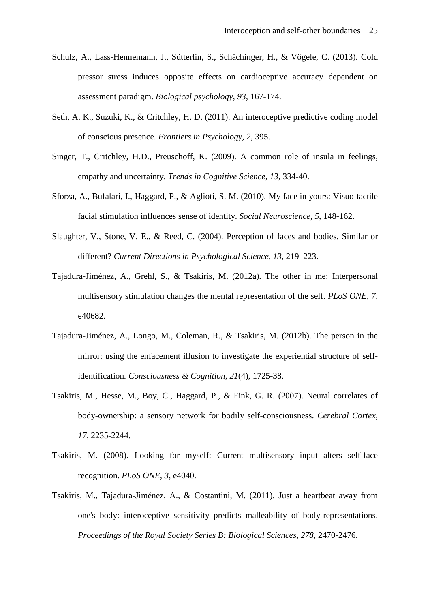- Schulz, A., Lass-Hennemann, J., Sütterlin, S., Schächinger, H., & Vögele, C. (2013). Cold pressor stress induces opposite effects on cardioceptive accuracy dependent on assessment paradigm. *Biological psychology, 93,* 167-174.
- Seth, A. K., Suzuki, K., & Critchley, H. D. (2011). An interoceptive predictive coding model of conscious presence. *Frontiers in Psychology, 2,* 395.
- Singer, T., Critchley, H.D., Preuschoff, K. (2009). A common role of insula in feelings, empathy and uncertainty. *Trends in Cognitive Science, 13*, 334-40.
- Sforza, A., Bufalari, I., Haggard, P., & Aglioti, S. M. (2010). My face in yours: Visuo-tactile facial stimulation influences sense of identity. *Social Neuroscience, 5*, 148-162.
- Slaughter, V., Stone, V. E., & Reed, C. (2004). Perception of faces and bodies. Similar or different? *Current Directions in Psychological Science, 13*, 219–223.
- Tajadura-Jiménez, A., Grehl, S., & Tsakiris, M. (2012a). The other in me: Interpersonal multisensory stimulation changes the mental representation of the self. *PLoS ONE, 7*, e40682.
- Tajadura-Jiménez, A., Longo, M., Coleman, R., & Tsakiris, M. (2012b). The person in the mirror: using the enfacement illusion to investigate the experiential structure of selfidentification*. Consciousness & Cognition, 21*(4), 1725-38.
- Tsakiris, M., Hesse, M., Boy, C., Haggard, P., & Fink, G. R. (2007). Neural correlates of body-ownership: a sensory network for bodily self-consciousness. *Cerebral Cortex, 17*, 2235-2244.
- Tsakiris, M. (2008). Looking for myself: Current multisensory input alters self-face recognition. *PLoS ONE, 3*, e4040.
- Tsakiris, M., Tajadura-Jiménez, A., & Costantini, M. (2011). Just a heartbeat away from one's body: interoceptive sensitivity predicts malleability of body-representations. *Proceedings of the Royal Society Series B: Biological Sciences, 278*, 2470-2476.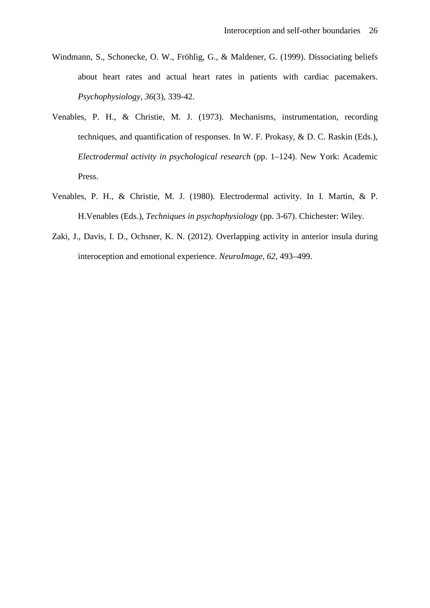- Windmann, S., Schonecke, O. W., Fröhlig, G., & Maldener, G. (1999). Dissociating beliefs about heart rates and actual heart rates in patients with cardiac pacemakers. *Psychophysiology, 36*(3), 339-42.
- Venables, P. H., & Christie, M. J. (1973). Mechanisms, instrumentation, recording techniques, and quantification of responses. In W. F. Prokasy, & D. C. Raskin (Eds.), *Electrodermal activity in psychological research* (pp. 1–124). New York: Academic Press.
- Venables, P. H., & Christie, M. J. (1980). Electrodermal activity. In I. Martin, & P. H.Venables (Eds.), *Techniques in psychophysiology* (pp. 3-67). Chichester: Wiley.
- Zaki, J., Davis, I. D., Ochsner, K. N. (2012). Overlapping activity in anterior insula during interoception and emotional experience. *NeuroImage, 62*, 493–499.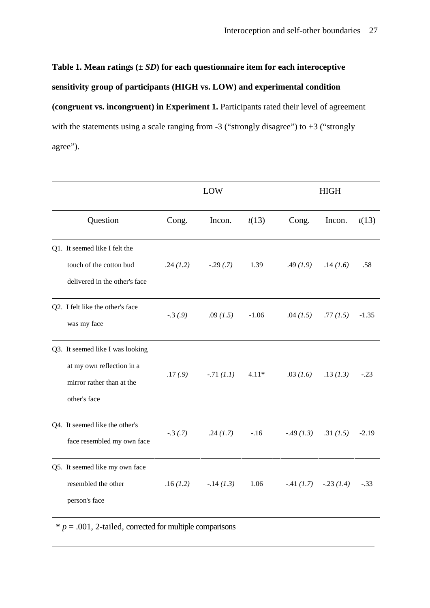# Table 1. Mean ratings  $(\pm SD)$  for each questionnaire item for each interoceptive

# **sensitivity group of participants (HIGH vs. LOW) and experimental condition**

**(congruent vs. incongruent) in Experiment 1.** Participants rated their level of agreement with the statements using a scale ranging from  $-3$  ("strongly disagree") to  $+3$  ("strongly agree").

|                                                                                                            |            | LOW          |         | <b>HIGH</b> |             |         |  |
|------------------------------------------------------------------------------------------------------------|------------|--------------|---------|-------------|-------------|---------|--|
| Question                                                                                                   | Cong.      | Incon.       | t(13)   | Cong.       | Incon.      | t(13)   |  |
| Q1. It seemed like I felt the<br>touch of the cotton bud<br>delivered in the other's face                  | .24(1.2)   | $-.29(.7)$   | 1.39    | .49(1.9)    | .14(1.6)    | .58     |  |
| Q2. I felt like the other's face<br>was my face                                                            | $-.3(0.9)$ | .09 $(1.5)$  | $-1.06$ | .04(1.5)    | .77(1.5)    | $-1.35$ |  |
| Q3. It seemed like I was looking<br>at my own reflection in a<br>mirror rather than at the<br>other's face | .17(0.9)   | $-.71(1.1)$  | $4.11*$ | .03(1.6)    | .13(1.3)    | $-.23$  |  |
| Q4. It seemed like the other's<br>face resembled my own face                                               | $-.3(.7)$  | .24(1.7)     | $-.16$  | $-.49(1.3)$ | .31(1.5)    | $-2.19$ |  |
| Q5. It seemed like my own face<br>resembled the other<br>person's face                                     | .16(1.2)   | $-.14$ (1.3) | 1.06    | $-.41(1.7)$ | $-.23(1.4)$ | $-.33$  |  |

 $* p = .001$ , 2-tailed, corrected for multiple comparisons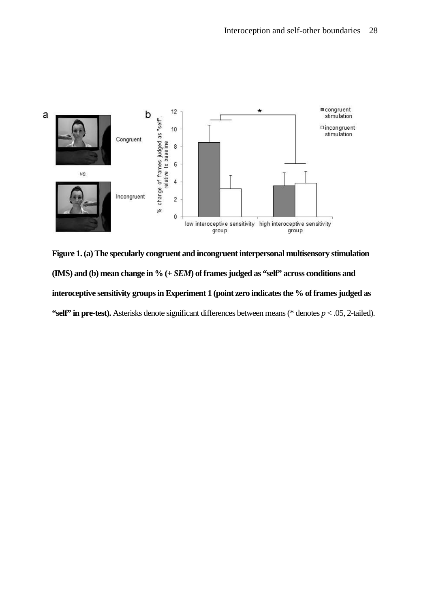

**Figure 1. (a) The specularly congruent and incongruent interpersonal multisensory stimulation (IMS) and (b) mean change in % (+** *SEM***) of frames judged as "self" across conditions and interoceptive sensitivity groups in Experiment 1 (point zero indicates the % of frames judged as "self" in pre-test).** Asterisks denote significant differences between means (\* denotes *p* < .05, 2-tailed).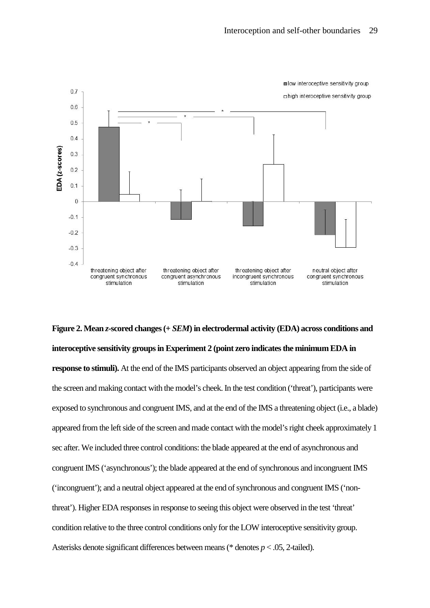

**Figure 2. Mean** *z***-scored changes (+** *SEM***) in electrodermal activity (EDA) across conditions and interoceptive sensitivity groups in Experiment 2 (point zero indicates the minimum EDA in response to stimuli).** At the end of the IMS participants observed an object appearing from the side of the screen and making contact with the model's cheek. In the test condition ('threat'), participants were exposed to synchronous and congruent IMS, and at the end of the IMS a threatening object (i.e., a blade) appeared from the left side of the screen and made contact with the model's right cheek approximately 1 sec after. We included three control conditions: the blade appeared at the end of asynchronous and congruent IMS ('asynchronous'); the blade appeared at the end of synchronous and incongruent IMS ('incongruent'); and a neutral object appeared at the end of synchronous and congruent IMS ('nonthreat'). Higher EDA responses in response to seeing this object were observed in the test 'threat' condition relative to the three control conditions only for the LOW interoceptive sensitivity group. Asterisks denote significant differences between means (\* denotes *p* < .05, 2-tailed).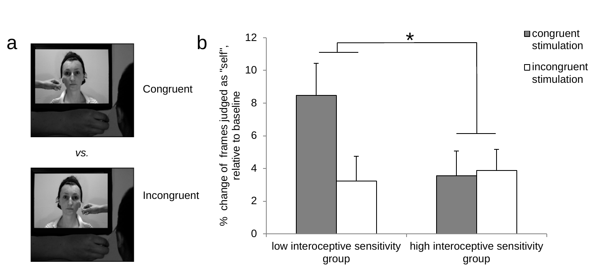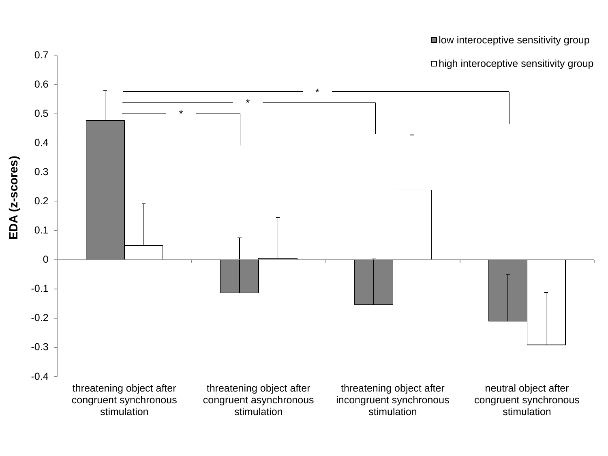